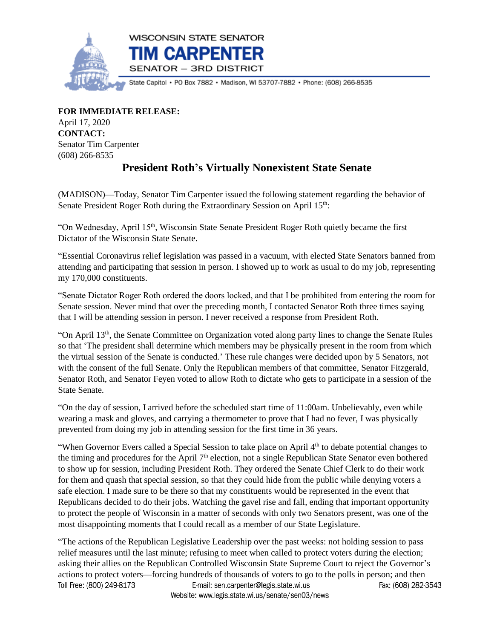

**FOR IMMEDIATE RELEASE:**

April 17, 2020 **CONTACT:** Senator Tim Carpenter (608) 266-8535

## **President Roth's Virtually Nonexistent State Senate**

(MADISON)—Today, Senator Tim Carpenter issued the following statement regarding the behavior of Senate President Roger Roth during the Extraordinary Session on April 15<sup>th</sup>:

"On Wednesday, April 15<sup>th</sup>, Wisconsin State Senate President Roger Roth quietly became the first Dictator of the Wisconsin State Senate.

"Essential Coronavirus relief legislation was passed in a vacuum, with elected State Senators banned from attending and participating that session in person. I showed up to work as usual to do my job, representing my 170,000 constituents.

"Senate Dictator Roger Roth ordered the doors locked, and that I be prohibited from entering the room for Senate session. Never mind that over the preceding month, I contacted Senator Roth three times saying that I will be attending session in person. I never received a response from President Roth.

"On April 13th, the Senate Committee on Organization voted along party lines to change the Senate Rules so that 'The president shall determine which members may be physically present in the room from which the virtual session of the Senate is conducted.' These rule changes were decided upon by 5 Senators, not with the consent of the full Senate. Only the Republican members of that committee, Senator Fitzgerald, Senator Roth, and Senator Feyen voted to allow Roth to dictate who gets to participate in a session of the State Senate.

"On the day of session, I arrived before the scheduled start time of 11:00am. Unbelievably, even while wearing a mask and gloves, and carrying a thermometer to prove that I had no fever, I was physically prevented from doing my job in attending session for the first time in 36 years.

"When Governor Evers called a Special Session to take place on April 4<sup>th</sup> to debate potential changes to the timing and procedures for the April  $7<sup>th</sup>$  election, not a single Republican State Senator even bothered to show up for session, including President Roth. They ordered the Senate Chief Clerk to do their work for them and quash that special session, so that they could hide from the public while denying voters a safe election. I made sure to be there so that my constituents would be represented in the event that Republicans decided to do their jobs. Watching the gavel rise and fall, ending that important opportunity to protect the people of Wisconsin in a matter of seconds with only two Senators present, was one of the most disappointing moments that I could recall as a member of our State Legislature.

"The actions of the Republican Legislative Leadership over the past weeks: not holding session to pass relief measures until the last minute; refusing to meet when called to protect voters during the election; asking their allies on the Republican Controlled Wisconsin State Supreme Court to reject the Governor's actions to protect voters—forcing hundreds of thousands of voters to go to the polls in person; and then Toll Free: (800) 249-8173 E-mail: sen.carpenter@legis.state.wi.us Fax: (608) 282-3543 Website: www.legis.state.wi.us/senate/sen03/news